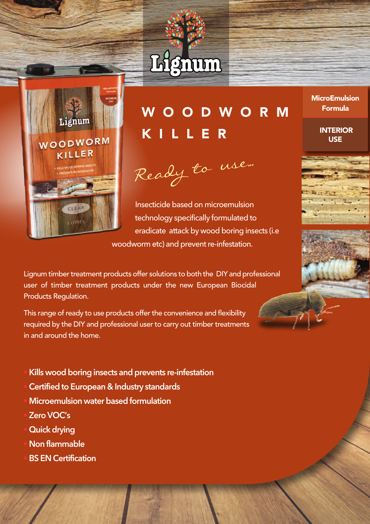



# W O O D W O R M K I L L E R

Ready to use...

Insecticide based on microemulsion technology specifically formulated to eradicate attack by wood boring insects (i.e woodworm etc) and prevent re-infestation.

Lignum timber treatment products offer solutions to both the DIY and professional user of timber treatment products under the new European Biocidal Products Regulation.

This range of ready to use products offer the convenience and flexibility required by the DIY and professional user to carry out timber treatments in and around the home.

- **•Kills wood boring insects and prevents re-infestation**
- **•Certified to European & Industry standards**
- **• Microemulsion water based formulation**
- **• ZeroVOC's**
- **• Quick drying**
- **• Non flammable**
- **•BS EN Certification**

**MicroEmulsion** Formula

> **INTERIOR USE**